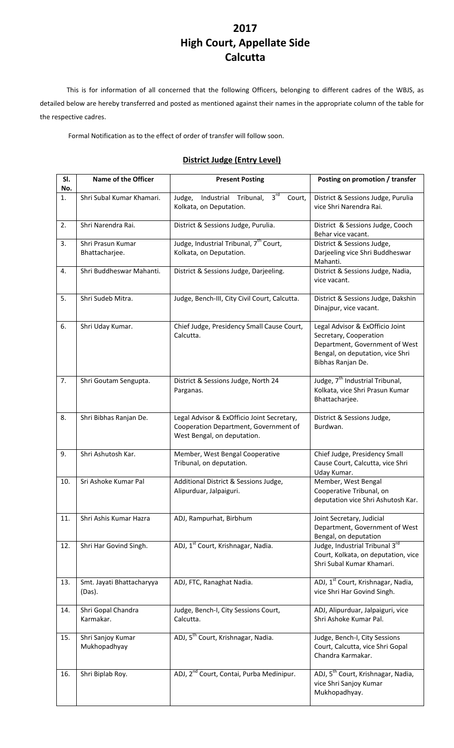## **2017 High Court, Appellate Side Calcutta**

This is for information of all concerned that the following Officers, belonging to different cadres of the WBJS, as detailed below are hereby transferred and posted as mentioned against their names in the appropriate column of the table for the respective cadres.

Formal Notification as to the effect of order of transfer will follow soon.

## **District Judge (Entry Level)**

| SI.<br>No. | <b>Name of the Officer</b>          | <b>Present Posting</b>                                                                                             | Posting on promotion / transfer                                                                                                                      |
|------------|-------------------------------------|--------------------------------------------------------------------------------------------------------------------|------------------------------------------------------------------------------------------------------------------------------------------------------|
| 1.         | Shri Subal Kumar Khamari.           | 3 <sup>rd</sup><br>Industrial<br>Judge,<br>Tribunal,<br>Court,<br>Kolkata, on Deputation.                          | District & Sessions Judge, Purulia<br>vice Shri Narendra Rai.                                                                                        |
| 2.         | Shri Narendra Rai.                  | District & Sessions Judge, Purulia.                                                                                | District & Sessions Judge, Cooch<br>Behar vice vacant.                                                                                               |
| 3.         | Shri Prasun Kumar<br>Bhattacharjee. | Judge, Industrial Tribunal, 7 <sup>th</sup> Court,<br>Kolkata, on Deputation.                                      | District & Sessions Judge,<br>Darjeeling vice Shri Buddheswar<br>Mahanti.                                                                            |
| 4.         | Shri Buddheswar Mahanti.            | District & Sessions Judge, Darjeeling.                                                                             | District & Sessions Judge, Nadia,<br>vice vacant.                                                                                                    |
| 5.         | Shri Sudeb Mitra.                   | Judge, Bench-III, City Civil Court, Calcutta.                                                                      | District & Sessions Judge, Dakshin<br>Dinajpur, vice vacant.                                                                                         |
| 6.         | Shri Uday Kumar.                    | Chief Judge, Presidency Small Cause Court,<br>Calcutta.                                                            | Legal Advisor & ExOfficio Joint<br>Secretary, Cooperation<br>Department, Government of West<br>Bengal, on deputation, vice Shri<br>Bibhas Ranjan De. |
| 7.         | Shri Goutam Sengupta.               | District & Sessions Judge, North 24<br>Parganas.                                                                   | Judge, 7 <sup>th</sup> Industrial Tribunal,<br>Kolkata, vice Shri Prasun Kumar<br>Bhattacharjee.                                                     |
| 8.         | Shri Bibhas Ranjan De.              | Legal Advisor & ExOfficio Joint Secretary,<br>Cooperation Department, Government of<br>West Bengal, on deputation. | District & Sessions Judge,<br>Burdwan.                                                                                                               |
| 9.         | Shri Ashutosh Kar.                  | Member, West Bengal Cooperative<br>Tribunal, on deputation.                                                        | Chief Judge, Presidency Small<br>Cause Court, Calcutta, vice Shri<br>Uday Kumar.                                                                     |
| 10.        | Sri Ashoke Kumar Pal                | Additional District & Sessions Judge,<br>Alipurduar, Jalpaiguri.                                                   | Member, West Bengal<br>Cooperative Tribunal, on<br>deputation vice Shri Ashutosh Kar.                                                                |
| 11.        | Shri Ashis Kumar Hazra              | ADJ, Rampurhat, Birbhum                                                                                            | Joint Secretary, Judicial<br>Department, Government of West<br>Bengal, on deputation                                                                 |
| 12.        | Shri Har Govind Singh.              | ADJ, 1 <sup>st</sup> Court, Krishnagar, Nadia.                                                                     | Judge, Industrial Tribunal 3rd<br>Court, Kolkata, on deputation, vice<br>Shri Subal Kumar Khamari.                                                   |
| 13.        | Smt. Jayati Bhattacharyya<br>(Das). | ADJ, FTC, Ranaghat Nadia.                                                                                          | ADJ, 1 <sup>st</sup> Court, Krishnagar, Nadia,<br>vice Shri Har Govind Singh.                                                                        |
| 14.        | Shri Gopal Chandra<br>Karmakar.     | Judge, Bench-I, City Sessions Court,<br>Calcutta.                                                                  | ADJ, Alipurduar, Jalpaiguri, vice<br>Shri Ashoke Kumar Pal.                                                                                          |
| 15.        | Shri Sanjoy Kumar<br>Mukhopadhyay   | ADJ, 5 <sup>th</sup> Court, Krishnagar, Nadia.                                                                     | Judge, Bench-I, City Sessions<br>Court, Calcutta, vice Shri Gopal<br>Chandra Karmakar.                                                               |
| 16.        | Shri Biplab Roy.                    | ADJ, 2 <sup>nd</sup> Court, Contai, Purba Medinipur.                                                               | ADJ, 5 <sup>th</sup> Court, Krishnagar, Nadia,<br>vice Shri Sanjoy Kumar<br>Mukhopadhyay.                                                            |